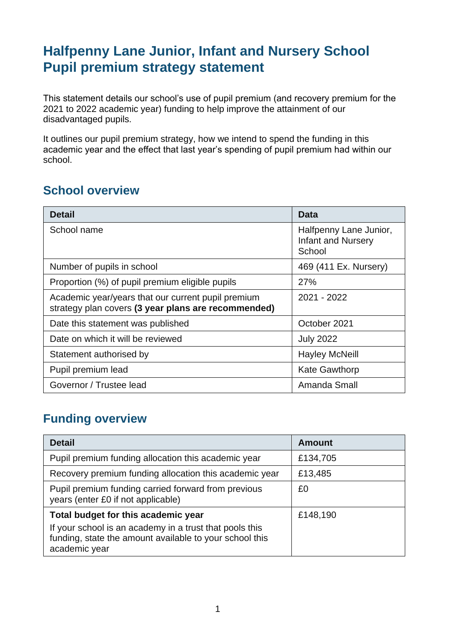# **Halfpenny Lane Junior, Infant and Nursery School Pupil premium strategy statement**

This statement details our school's use of pupil premium (and recovery premium for the 2021 to 2022 academic year) funding to help improve the attainment of our disadvantaged pupils.

It outlines our pupil premium strategy, how we intend to spend the funding in this academic year and the effect that last year's spending of pupil premium had within our school.

### **School overview**

| <b>Detail</b>                                                                                             | Data                                                          |
|-----------------------------------------------------------------------------------------------------------|---------------------------------------------------------------|
| School name                                                                                               | Halfpenny Lane Junior,<br><b>Infant and Nursery</b><br>School |
| Number of pupils in school                                                                                | 469 (411 Ex. Nursery)                                         |
| Proportion (%) of pupil premium eligible pupils                                                           | <b>27%</b>                                                    |
| Academic year/years that our current pupil premium<br>strategy plan covers (3 year plans are recommended) | 2021 - 2022                                                   |
| Date this statement was published                                                                         | October 2021                                                  |
| Date on which it will be reviewed                                                                         | <b>July 2022</b>                                              |
| Statement authorised by                                                                                   | <b>Hayley McNeill</b>                                         |
| Pupil premium lead                                                                                        | <b>Kate Gawthorp</b>                                          |
| Governor / Trustee lead                                                                                   | Amanda Small                                                  |

### **Funding overview**

| <b>Detail</b>                                                                                                                       | <b>Amount</b> |
|-------------------------------------------------------------------------------------------------------------------------------------|---------------|
| Pupil premium funding allocation this academic year                                                                                 | £134,705      |
| Recovery premium funding allocation this academic year                                                                              | £13,485       |
| Pupil premium funding carried forward from previous<br>years (enter £0 if not applicable)                                           | £0            |
| Total budget for this academic year                                                                                                 | £148,190      |
| If your school is an academy in a trust that pools this<br>funding, state the amount available to your school this<br>academic year |               |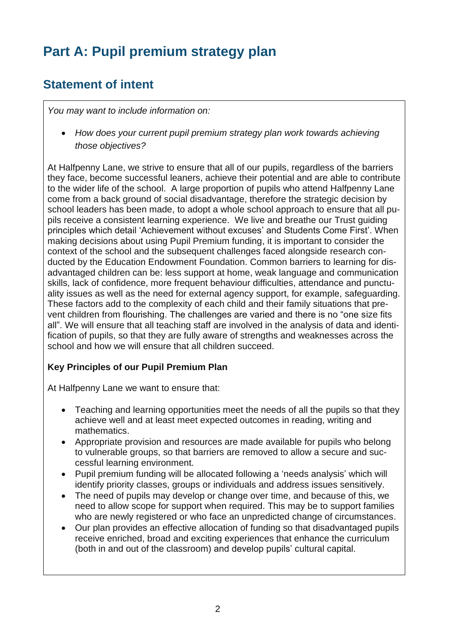# **Part A: Pupil premium strategy plan**

## **Statement of intent**

*You may want to include information on:*

• *How does your current pupil premium strategy plan work towards achieving those objectives?*

At Halfpenny Lane, we strive to ensure that all of our pupils, regardless of the barriers they face, become successful leaners, achieve their potential and are able to contribute to the wider life of the school. A large proportion of pupils who attend Halfpenny Lane come from a back ground of social disadvantage, therefore the strategic decision by school leaders has been made, to adopt a whole school approach to ensure that all pupils receive a consistent learning experience. We live and breathe our Trust guiding principles which detail 'Achievement without excuses' and Students Come First'. When making decisions about using Pupil Premium funding, it is important to consider the context of the school and the subsequent challenges faced alongside research conducted by the Education Endowment Foundation. Common barriers to learning for disadvantaged children can be: less support at home, weak language and communication skills, lack of confidence, more frequent behaviour difficulties, attendance and punctuality issues as well as the need for external agency support, for example, safeguarding. These factors add to the complexity of each child and their family situations that prevent children from flourishing. The challenges are varied and there is no "one size fits all". We will ensure that all teaching staff are involved in the analysis of data and identification of pupils, so that they are fully aware of strengths and weaknesses across the school and how we will ensure that all children succeed.

#### **Key Principles of our Pupil Premium Plan**

At Halfpenny Lane we want to ensure that:

- Teaching and learning opportunities meet the needs of all the pupils so that they achieve well and at least meet expected outcomes in reading, writing and mathematics.
- Appropriate provision and resources are made available for pupils who belong to vulnerable groups, so that barriers are removed to allow a secure and successful learning environment.
- Pupil premium funding will be allocated following a 'needs analysis' which will identify priority classes, groups or individuals and address issues sensitively.
- The need of pupils may develop or change over time, and because of this, we need to allow scope for support when required. This may be to support families who are newly registered or who face an unpredicted change of circumstances.
- Our plan provides an effective allocation of funding so that disadvantaged pupils receive enriched, broad and exciting experiences that enhance the curriculum (both in and out of the classroom) and develop pupils' cultural capital.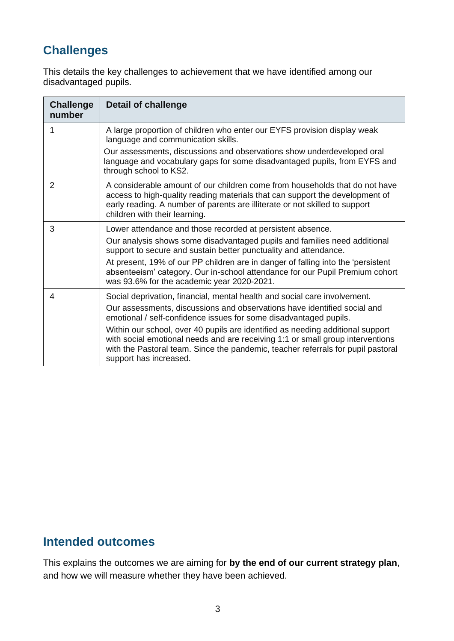## **Challenges**

This details the key challenges to achievement that we have identified among our disadvantaged pupils.

| <b>Challenge</b><br>number | <b>Detail of challenge</b>                                                                                                                                                                                                                                                     |
|----------------------------|--------------------------------------------------------------------------------------------------------------------------------------------------------------------------------------------------------------------------------------------------------------------------------|
| 1                          | A large proportion of children who enter our EYFS provision display weak<br>language and communication skills.                                                                                                                                                                 |
|                            | Our assessments, discussions and observations show underdeveloped oral<br>language and vocabulary gaps for some disadvantaged pupils, from EYFS and<br>through school to KS2.                                                                                                  |
| 2                          | A considerable amount of our children come from households that do not have<br>access to high-quality reading materials that can support the development of<br>early reading. A number of parents are illiterate or not skilled to support<br>children with their learning.    |
| 3                          | Lower attendance and those recorded at persistent absence.                                                                                                                                                                                                                     |
|                            | Our analysis shows some disadvantaged pupils and families need additional<br>support to secure and sustain better punctuality and attendance.                                                                                                                                  |
|                            | At present, 19% of our PP children are in danger of falling into the 'persistent<br>absenteeism' category. Our in-school attendance for our Pupil Premium cohort<br>was 93.6% for the academic year 2020-2021.                                                                 |
| 4                          | Social deprivation, financial, mental health and social care involvement.                                                                                                                                                                                                      |
|                            | Our assessments, discussions and observations have identified social and<br>emotional / self-confidence issues for some disadvantaged pupils.                                                                                                                                  |
|                            | Within our school, over 40 pupils are identified as needing additional support<br>with social emotional needs and are receiving 1:1 or small group interventions<br>with the Pastoral team. Since the pandemic, teacher referrals for pupil pastoral<br>support has increased. |

#### **Intended outcomes**

This explains the outcomes we are aiming for **by the end of our current strategy plan**, and how we will measure whether they have been achieved.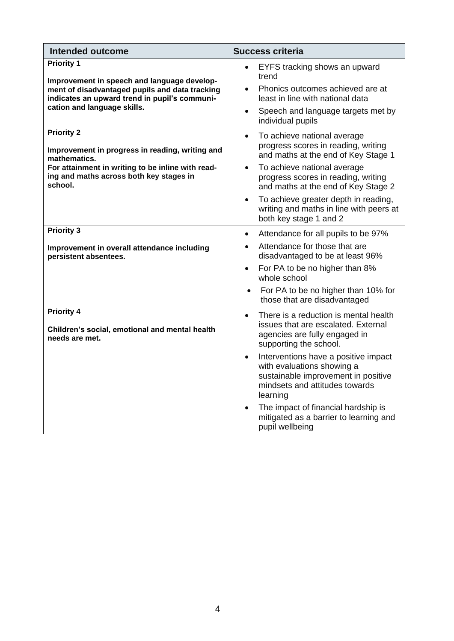| <b>Intended outcome</b>                                                                                                                                                                            | <b>Success criteria</b>                                                                                                                                                                                                                                                                                                                                                                                                                       |  |  |
|----------------------------------------------------------------------------------------------------------------------------------------------------------------------------------------------------|-----------------------------------------------------------------------------------------------------------------------------------------------------------------------------------------------------------------------------------------------------------------------------------------------------------------------------------------------------------------------------------------------------------------------------------------------|--|--|
| <b>Priority 1</b><br>Improvement in speech and language develop-<br>ment of disadvantaged pupils and data tracking<br>indicates an upward trend in pupil's communi-<br>cation and language skills. | EYFS tracking shows an upward<br>$\bullet$<br>trend<br>Phonics outcomes achieved are at<br>$\bullet$<br>least in line with national data<br>Speech and language targets met by<br>$\bullet$<br>individual pupils                                                                                                                                                                                                                              |  |  |
| <b>Priority 2</b><br>Improvement in progress in reading, writing and<br>mathematics.<br>For attainment in writing to be inline with read-<br>ing and maths across both key stages in<br>school.    | To achieve national average<br>$\bullet$<br>progress scores in reading, writing<br>and maths at the end of Key Stage 1<br>To achieve national average<br>$\bullet$<br>progress scores in reading, writing<br>and maths at the end of Key Stage 2<br>To achieve greater depth in reading,<br>$\bullet$<br>writing and maths in line with peers at<br>both key stage 1 and 2                                                                    |  |  |
| <b>Priority 3</b><br>Improvement in overall attendance including<br>persistent absentees.                                                                                                          | Attendance for all pupils to be 97%<br>$\bullet$<br>Attendance for those that are<br>disadvantaged to be at least 96%<br>For PA to be no higher than 8%<br>$\bullet$<br>whole school<br>For PA to be no higher than 10% for<br>$\bullet$<br>those that are disadvantaged                                                                                                                                                                      |  |  |
| <b>Priority 4</b><br>Children's social, emotional and mental health<br>needs are met.                                                                                                              | There is a reduction is mental health<br>$\bullet$<br>issues that are escalated. External<br>agencies are fully engaged in<br>supporting the school.<br>Interventions have a positive impact<br>$\bullet$<br>with evaluations showing a<br>sustainable improvement in positive<br>mindsets and attitudes towards<br>learning<br>The impact of financial hardship is<br>$\bullet$<br>mitigated as a barrier to learning and<br>pupil wellbeing |  |  |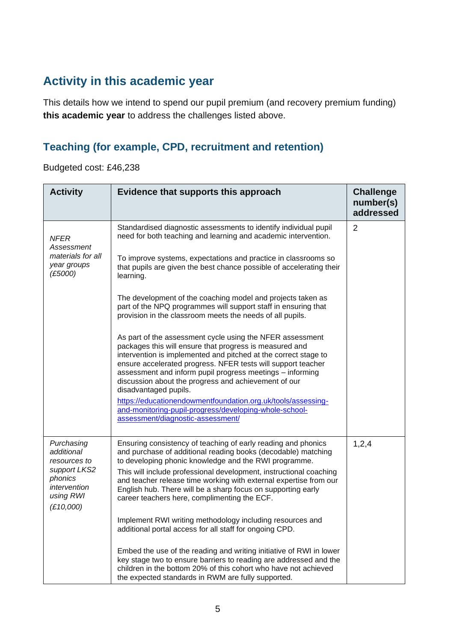## **Activity in this academic year**

This details how we intend to spend our pupil premium (and recovery premium funding) **this academic year** to address the challenges listed above.

#### **Teaching (for example, CPD, recruitment and retention)**

Budgeted cost: £46,238

| <b>Activity</b>                                                                                               | Evidence that supports this approach                                                                                                                                                                                                                                                                                                                                                                                                               | <b>Challenge</b><br>number(s)<br>addressed |
|---------------------------------------------------------------------------------------------------------------|----------------------------------------------------------------------------------------------------------------------------------------------------------------------------------------------------------------------------------------------------------------------------------------------------------------------------------------------------------------------------------------------------------------------------------------------------|--------------------------------------------|
| <b>NFER</b><br>Assessment<br>materials for all<br>year groups<br>(E5000)                                      | Standardised diagnostic assessments to identify individual pupil<br>need for both teaching and learning and academic intervention.<br>To improve systems, expectations and practice in classrooms so<br>that pupils are given the best chance possible of accelerating their<br>learning.<br>The development of the coaching model and projects taken as                                                                                           | $\overline{2}$                             |
|                                                                                                               | part of the NPQ programmes will support staff in ensuring that<br>provision in the classroom meets the needs of all pupils.<br>As part of the assessment cycle using the NFER assessment                                                                                                                                                                                                                                                           |                                            |
|                                                                                                               | packages this will ensure that progress is measured and<br>intervention is implemented and pitched at the correct stage to<br>ensure accelerated progress. NFER tests will support teacher<br>assessment and inform pupil progress meetings - informing<br>discussion about the progress and achievement of our<br>disadvantaged pupils.                                                                                                           |                                            |
|                                                                                                               | https://educationendowmentfoundation.org.uk/tools/assessing-<br>and-monitoring-pupil-progress/developing-whole-school-<br>assessment/diagnostic-assessment/                                                                                                                                                                                                                                                                                        |                                            |
| Purchasing<br>additional<br>resources to<br>support LKS2<br>phonics<br>intervention<br>using RWI<br>(E10,000) | Ensuring consistency of teaching of early reading and phonics<br>and purchase of additional reading books (decodable) matching<br>to developing phonic knowledge and the RWI programme.<br>This will include professional development, instructional coaching<br>and teacher release time working with external expertise from our<br>English hub. There will be a sharp focus on supporting early<br>career teachers here, complimenting the ECF. | 1,2,4                                      |
|                                                                                                               | Implement RWI writing methodology including resources and<br>additional portal access for all staff for ongoing CPD.                                                                                                                                                                                                                                                                                                                               |                                            |
|                                                                                                               | Embed the use of the reading and writing initiative of RWI in lower<br>key stage two to ensure barriers to reading are addressed and the<br>children in the bottom 20% of this cohort who have not achieved<br>the expected standards in RWM are fully supported.                                                                                                                                                                                  |                                            |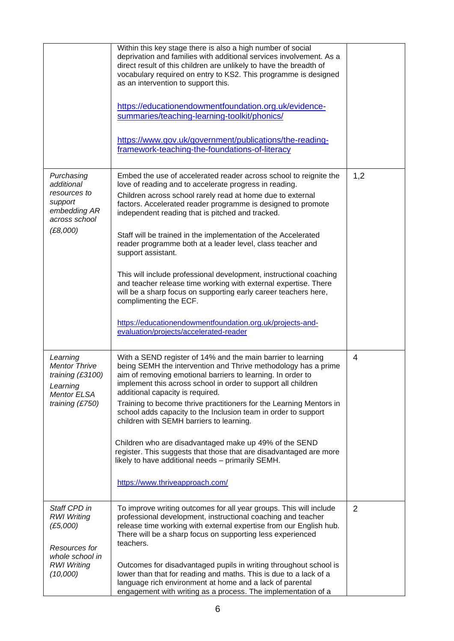|                                                                                                                      | Within this key stage there is also a high number of social<br>deprivation and families with additional services involvement. As a<br>direct result of this children are unlikely to have the breadth of<br>vocabulary required on entry to KS2. This programme is designed<br>as an intervention to support this.                                                                                                                                                                                                                                                                                                                                                                                              |                |
|----------------------------------------------------------------------------------------------------------------------|-----------------------------------------------------------------------------------------------------------------------------------------------------------------------------------------------------------------------------------------------------------------------------------------------------------------------------------------------------------------------------------------------------------------------------------------------------------------------------------------------------------------------------------------------------------------------------------------------------------------------------------------------------------------------------------------------------------------|----------------|
|                                                                                                                      | https://educationendowmentfoundation.org.uk/evidence-<br>summaries/teaching-learning-toolkit/phonics/                                                                                                                                                                                                                                                                                                                                                                                                                                                                                                                                                                                                           |                |
|                                                                                                                      | https://www.gov.uk/government/publications/the-reading-<br>framework-teaching-the-foundations-of-literacy                                                                                                                                                                                                                                                                                                                                                                                                                                                                                                                                                                                                       |                |
| Purchasing<br>additional<br>resources to<br>support<br>embedding AR<br>across school<br>(E8,000)                     | Embed the use of accelerated reader across school to reignite the<br>love of reading and to accelerate progress in reading.<br>Children across school rarely read at home due to external<br>factors. Accelerated reader programme is designed to promote<br>independent reading that is pitched and tracked.<br>Staff will be trained in the implementation of the Accelerated<br>reader programme both at a leader level, class teacher and<br>support assistant.                                                                                                                                                                                                                                             | 1,2            |
|                                                                                                                      | This will include professional development, instructional coaching<br>and teacher release time working with external expertise. There<br>will be a sharp focus on supporting early career teachers here,<br>complimenting the ECF.<br>https://educationendowmentfoundation.org.uk/projects-and-<br>evaluation/projects/accelerated-reader                                                                                                                                                                                                                                                                                                                                                                       |                |
| Learning<br><b>Mentor Thrive</b><br>training (£3100)<br>Learning<br><b>Mentor ELSA</b><br>training (£750)            | With a SEND register of 14% and the main barrier to learning<br>being SEMH the intervention and Thrive methodology has a prime<br>aim of removing emotional barriers to learning. In order to<br>implement this across school in order to support all children<br>additional capacity is required.<br>Training to become thrive practitioners for the Learning Mentors in<br>school adds capacity to the Inclusion team in order to support<br>children with SEMH barriers to learning.<br>Children who are disadvantaged make up 49% of the SEND<br>register. This suggests that those that are disadvantaged are more<br>likely to have additional needs - primarily SEMH.<br>https://www.thriveapproach.com/ | $\overline{4}$ |
| Staff CPD in<br><b>RWI Writing</b><br>(E5,000)<br>Resources for<br>whole school in<br><b>RWI Writing</b><br>(10,000) | To improve writing outcomes for all year groups. This will include<br>professional development, instructional coaching and teacher<br>release time working with external expertise from our English hub.<br>There will be a sharp focus on supporting less experienced<br>teachers.<br>Outcomes for disadvantaged pupils in writing throughout school is<br>lower than that for reading and maths. This is due to a lack of a<br>language rich environment at home and a lack of parental<br>engagement with writing as a process. The implementation of a                                                                                                                                                      | $\overline{2}$ |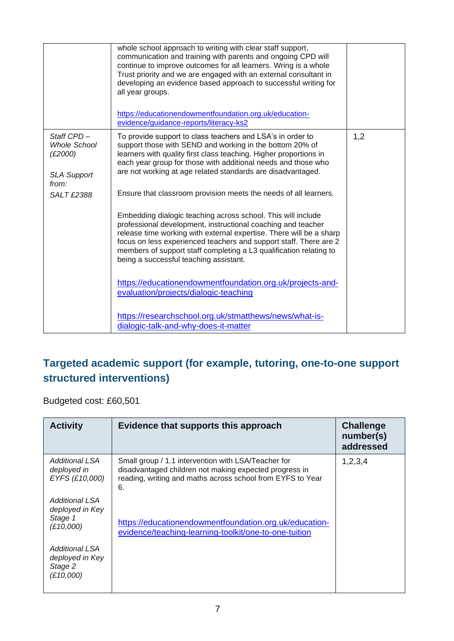|                                                                                                  | whole school approach to writing with clear staff support,<br>communication and training with parents and ongoing CPD will<br>continue to improve outcomes for all learners. Wring is a whole<br>Trust priority and we are engaged with an external consultant in<br>developing an evidence based approach to successful writing for<br>all year groups.<br>https://educationendowmentfoundation.org.uk/education-<br>evidence/guidance-reports/literacy-ks2                                                                                                                                                                                                                                                                                                                                                                                                                                                                                                                                        |     |
|--------------------------------------------------------------------------------------------------|-----------------------------------------------------------------------------------------------------------------------------------------------------------------------------------------------------------------------------------------------------------------------------------------------------------------------------------------------------------------------------------------------------------------------------------------------------------------------------------------------------------------------------------------------------------------------------------------------------------------------------------------------------------------------------------------------------------------------------------------------------------------------------------------------------------------------------------------------------------------------------------------------------------------------------------------------------------------------------------------------------|-----|
| Staff CPD-<br><b>Whole School</b><br>(E2000)<br><b>SLA Support</b><br>from:<br><b>SALT £2388</b> | To provide support to class teachers and LSA's in order to<br>support those with SEND and working in the bottom 20% of<br>learners with quality first class teaching. Higher proportions in<br>each year group for those with additional needs and those who<br>are not working at age related standards are disadvantaged.<br>Ensure that classroom provision meets the needs of all learners.<br>Embedding dialogic teaching across school. This will include<br>professional development, instructional coaching and teacher<br>release time working with external expertise. There will be a sharp<br>focus on less experienced teachers and support staff. There are 2<br>members of support staff completing a L3 qualification relating to<br>being a successful teaching assistant.<br>https://educationendowmentfoundation.org.uk/projects-and-<br>evaluation/projects/dialogic-teaching<br>https://researchschool.org.uk/stmatthews/news/what-is-<br>dialogic-talk-and-why-does-it-matter | 1,2 |

### **Targeted academic support (for example, tutoring, one-to-one support structured interventions)**

Budgeted cost: £60,501

| <b>Activity</b>                                           | Evidence that supports this approach                                                                                                                                              | <b>Challenge</b><br>number(s)<br>addressed |
|-----------------------------------------------------------|-----------------------------------------------------------------------------------------------------------------------------------------------------------------------------------|--------------------------------------------|
| Additional LSA<br>deployed in<br>EYFS (£10,000)           | Small group / 1.1 intervention with LSA/Teacher for<br>disadvantaged children not making expected progress in<br>reading, writing and maths across school from EYFS to Year<br>6. | 1,2,3,4                                    |
| Additional LSA<br>deployed in Key<br>Stage 1<br>(E10,000) | https://educationendowmentfoundation.org.uk/education-<br>evidence/teaching-learning-toolkit/one-to-one-tuition                                                                   |                                            |
| Additional LSA<br>deployed in Key<br>Stage 2<br>(E10,000) |                                                                                                                                                                                   |                                            |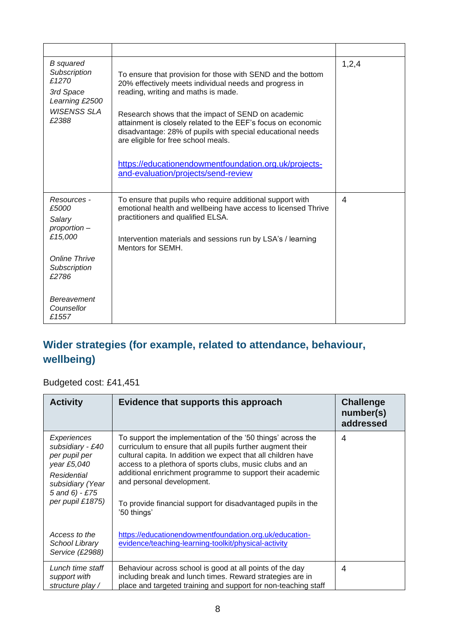| <b>B</b> squared<br>Subscription<br>£1270<br>3rd Space<br>Learning £2500<br><b>WISENSS SLA</b><br>£2388                                          | To ensure that provision for those with SEND and the bottom<br>20% effectively meets individual needs and progress in<br>reading, writing and maths is made.<br>Research shows that the impact of SEND on academic<br>attainment is closely related to the EEF's focus on economic<br>disadvantage: 28% of pupils with special educational needs<br>are eligible for free school meals.<br>https://educationendowmentfoundation.org.uk/projects-<br>and-evaluation/projects/send-review | 1,2,4 |
|--------------------------------------------------------------------------------------------------------------------------------------------------|-----------------------------------------------------------------------------------------------------------------------------------------------------------------------------------------------------------------------------------------------------------------------------------------------------------------------------------------------------------------------------------------------------------------------------------------------------------------------------------------|-------|
| Resources -<br>£5000<br>Salary<br>proportion -<br>£15,000<br><b>Online Thrive</b><br>Subscription<br>£2786<br>Bereavement<br>Counsellor<br>£1557 | To ensure that pupils who require additional support with<br>emotional health and wellbeing have access to licensed Thrive<br>practitioners and qualified ELSA.<br>Intervention materials and sessions run by LSA's / learning<br>Mentors for SEMH.                                                                                                                                                                                                                                     | 4     |

### **Wider strategies (for example, related to attendance, behaviour, wellbeing)**

Budgeted cost: £41,451

| <b>Activity</b>                                                                                                                              | Evidence that supports this approach                                                                                                                                                                                                                                                                                                                                                                                            | <b>Challenge</b><br>number(s)<br>addressed |
|----------------------------------------------------------------------------------------------------------------------------------------------|---------------------------------------------------------------------------------------------------------------------------------------------------------------------------------------------------------------------------------------------------------------------------------------------------------------------------------------------------------------------------------------------------------------------------------|--------------------------------------------|
| Experiences<br>subsidiary - £40<br>per pupil per<br>year £5,040<br>Residential<br>subsidiary (Year<br>$5$ and $6) - £75$<br>per pupil £1875) | To support the implementation of the '50 things' across the<br>curriculum to ensure that all pupils further augment their<br>cultural capita. In addition we expect that all children have<br>access to a plethora of sports clubs, music clubs and an<br>additional enrichment programme to support their academic<br>and personal development.<br>To provide financial support for disadvantaged pupils in the<br>'50 things' | 4                                          |
| Access to the<br>School Library<br>Service (£2988)                                                                                           | https://educationendowmentfoundation.org.uk/education-<br>evidence/teaching-learning-toolkit/physical-activity                                                                                                                                                                                                                                                                                                                  |                                            |
| Lunch time staff<br>support with<br>structure play /                                                                                         | Behaviour across school is good at all points of the day<br>including break and lunch times. Reward strategies are in<br>place and targeted training and support for non-teaching staff                                                                                                                                                                                                                                         | 4                                          |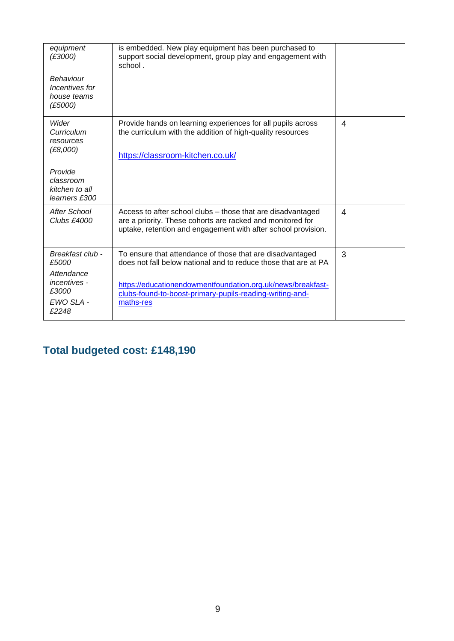| equipment<br>(E3000)                                            | is embedded. New play equipment has been purchased to<br>support social development, group play and engagement with<br>school.                                                             |   |
|-----------------------------------------------------------------|--------------------------------------------------------------------------------------------------------------------------------------------------------------------------------------------|---|
| Behaviour<br>Incentives for<br>house teams<br>(E5000)           |                                                                                                                                                                                            |   |
| Wider<br>Curriculum<br>resources                                | Provide hands on learning experiences for all pupils across<br>the curriculum with the addition of high-quality resources                                                                  | 4 |
| (E8,000)                                                        | https://classroom-kitchen.co.uk/                                                                                                                                                           |   |
| Provide<br>classroom<br>kitchen to all<br>learners £300         |                                                                                                                                                                                            |   |
| After School<br>Clubs £4000                                     | Access to after school clubs – those that are disadvantaged<br>are a priority. These cohorts are racked and monitored for<br>uptake, retention and engagement with after school provision. | 4 |
| Breakfast club -<br>£5000                                       | To ensure that attendance of those that are disadvantaged<br>does not fall below national and to reduce those that are at PA                                                               | 3 |
| Attendance<br><i>incentives</i> -<br>£3000<br>EWO SLA-<br>£2248 | https://educationendowmentfoundation.org.uk/news/breakfast-<br>clubs-found-to-boost-primary-pupils-reading-writing-and-<br>maths-res                                                       |   |

# **Total budgeted cost: £148,190**